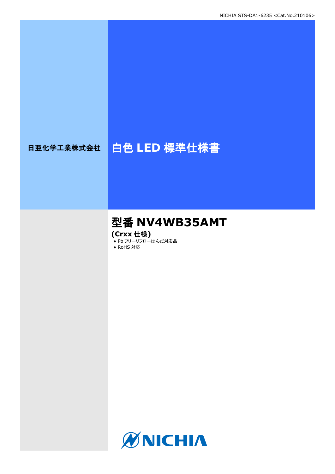# 日亜化学工業株式会社 | 白色 LED 標準仕様書

# 型番 **NV4WB35AMT**

**(Crxx** 仕様**)**

● Pb フリーリフローはんだ対応品

● RoHS 対応

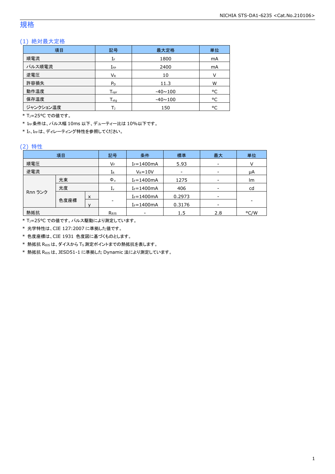### 規格

### (1) 絶対最大定格

| 項目        | 記号                 | 最大定格           | 単位 |
|-----------|--------------------|----------------|----|
| 順電流       | IF                 | 1800           | mA |
| パルス順電流    | $I_{FP}$           | 2400           | mA |
| 逆電圧       | $V_{R}$            | 10             | V  |
| 許容損失      | $P_D$              | 11.3           | W  |
| 動作温度      | $T_{\mathsf{opr}}$ | $-40 \sim 100$ | °C |
| 保存温度      | $T_{\rm stq}$      | $-40 \sim 100$ | °C |
| ジャンクション温度 |                    | 150            | °C |

\* T<sub>1</sub>=25°C での値です。

\* IFP条件は、パルス幅 10ms 以下、デューティー比は 10%以下です。

\* IF、IFPは、ディレーティング特性を参照してください。

### (2) 特性

| 項目      |      | 記号                   | 条件                       | 標準             | 最大                       | 単位   |    |
|---------|------|----------------------|--------------------------|----------------|--------------------------|------|----|
| 順電圧     |      | VF                   | $I_F = 1400mA$           | 5.93           |                          | v    |    |
| 逆電流     |      |                      | $I_{R}$                  | $V_R = 10V$    | $\overline{\phantom{a}}$ |      | μA |
| 光束      |      |                      | $\Phi_{v}$               | $I_F = 1400mA$ | 1275                     |      | lm |
|         | 光度   |                      | 1 <sub>v</sub>           | $I_F = 1400mA$ | 406                      |      | cd |
| Rnn ランク | x    |                      |                          | $I_F = 1400mA$ | 0.2973                   |      |    |
|         | 色度座標 | v                    | ۰                        | $I_F = 1400mA$ | 0.3176                   |      |    |
| 熱抵抗     |      | $R_{0}$ <sub>5</sub> | $\overline{\phantom{0}}$ | 1.5            | 2.8                      | °C/W |    |

\* TJ=25°C での値です。パルス駆動により測定しています。

\* 光学特性は、CIE 127:2007 に準拠した値です。

\* 色度座標は、CIE 1931 色度図に基づくものとします。

\* 熱抵抗 RθJSは、ダイスから TS測定ポイントまでの熱抵抗を表します。

\* 熱抵抗 RθJSは、JESD51-1 に準拠した Dynamic 法により測定しています。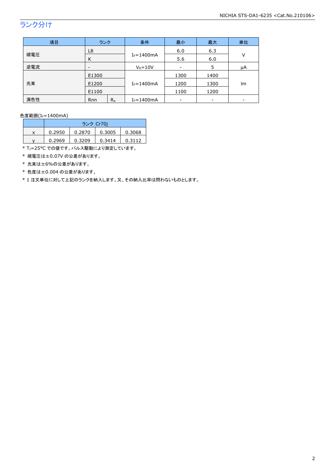## ランク分け

| 項目  | ランク   |       | 条件             | 最小   | 最大   | 単位 |
|-----|-------|-------|----------------|------|------|----|
|     | L8    |       |                | 6.0  | 6.3  |    |
| 順電圧 | K     |       | $I_F = 1400mA$ | 5.6  | 6.0  | V  |
| 逆電流 | -     |       | $V_R = 10V$    |      | 5    | μA |
|     | E1300 |       |                | 1300 | 1400 |    |
| 光束  | E1200 |       | $I_F = 1400mA$ | 1200 | 1300 | lm |
|     | E1100 |       |                | 1100 | 1200 |    |
| 演色性 | Rnn   | $R_a$ | $I_F = 1400mA$ |      |      |    |

色度範囲(I<sub>F</sub>=1400mA)

|   | ランク Cr70i |        |        |        |  |
|---|-----------|--------|--------|--------|--|
| x | 0.2950    | 0.2870 | 0.3005 | 0.3068 |  |
|   | 0.2969    | 0.3209 | 0.3414 | 0.3112 |  |

\* TJ=25°C での値です。パルス駆動により測定しています。

\* 順電圧は±0.07V の公差があります。

\* 光束は±6%の公差があります。

\* 色度は±0.004 の公差があります。

\* 1 注文単位に対して上記のランクを納入します。又、その納入比率は問わないものとします。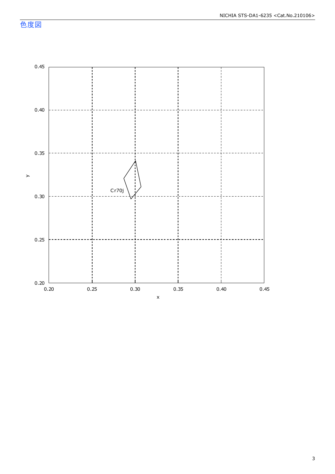色度図

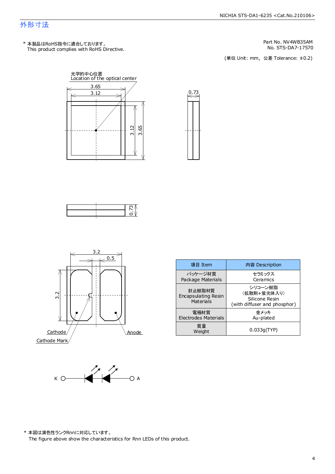### NICHIA STS-DA1-6235 <Cat.No.210106>

### 外形寸法

This product complies with RoHS Directive. \* 本製品はRoHS指令に適合しております。

No. STS-DA7-17570 Part No. NV4WB35AM

(単位 Unit: mm) (単位 Unit: mm, 公差 Tolerance: ±0.2)











| 項目 Item                                    | 内容 Description                                                           |  |
|--------------------------------------------|--------------------------------------------------------------------------|--|
| パッケージ材質<br>Package Materials               | セラミックス<br>Ceramics                                                       |  |
| 封止樹脂材質<br>Encapsulating Resin<br>Materials | シリコーン樹脂<br>(拡散剤+蛍光体入り)<br>Silicone Resin<br>(with diffuser and phosphor) |  |
| 雷極材質<br><b>Electrodes Materials</b>        | 余メッキ<br>Au-plated                                                        |  |
| 質量<br>Weight                               | 0.033q(TYP)                                                              |  |

 $K \bigcirc \bigcirc \bigcirc \bigcirc \bigcirc \bigcirc \bigcirc \bigcirc \bigcirc \bigcirc$ 

\* 本図は演色性ランクRnnに対応しています。

The figure above show the characteristics for Rnn LEDs of this product.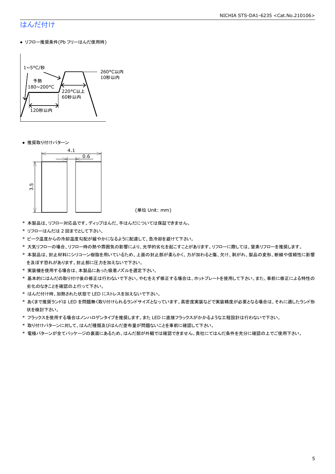## はんだ付け

● リフロー推奨条件(Pb フリーはんだ使用時)



● 推奨取り付けパターン



(単位 Unit: mm)

- \* 本製品は、リフロー対応品です。ディップはんだ、手はんだについては保証できません。
- \* リフローはんだは 2 回までとして下さい。
- \* ピーク温度からの冷却温度勾配が緩やかになるように配慮して、急冷却を避けて下さい。
- \* 大気リフローの場合、リフロー時の熱や雰囲気の影響により、光学的劣化を起こすことがあります。リフローに際しては、窒素リフローを推奨します。
- \* 本製品は、封止材料にシリコーン樹脂を用いているため、上面の封止部が柔らかく、力が加わると傷、欠け、剥がれ、製品の変形、断線や信頼性に影響 を及ぼす恐れがあります。封止部に圧力を加えないで下さい。
- \* 実装機を使用する場合は、本製品にあった吸着ノズルを選定下さい。
- \* 基本的にはんだの取り付け後の修正は行わないで下さい。やむをえず修正する場合は、ホットプレートを使用して下さい。また、事前に修正による特性の 劣化のなきことを確認の上行って下さい。
- \* はんだ付け時、加熱された状態で LED にストレスを加えないで下さい。
- \* あくまで推奨ランドは LED を問題無く取り付けられるランドサイズとなっています。高密度実装などで実装精度が必要となる場合は、それに適したランド形 状を検討下さい。
- \* フラックスを使用する場合はノンハロゲンタイプを推奨します。また LED に直接フラックスがかかるような工程設計は行わないで下さい。
- \* 取り付けパターンに対して、はんだ種類及びはんだ塗布量が問題ないことを事前に確認して下さい。
- \* 電極パターンが全てパッケージの裏面にあるため、はんだ部が外観では確認できません。貴社にてはんだ条件を充分に確認の上でご使用下さい。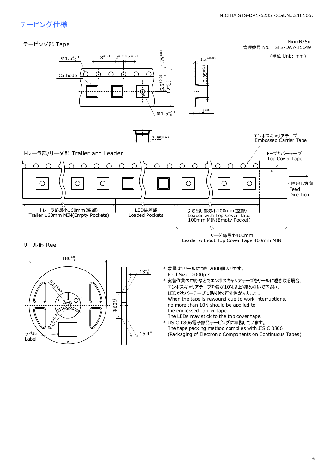## テーピング仕様

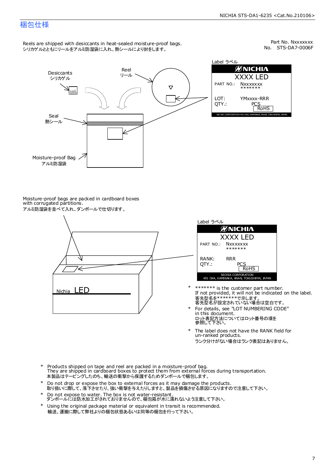### 梱包仕様

Reels are shipped with desiccants in heat-sealed moisture-proof bags. シリカゲルとともにリールをアルミ防湿袋に入れ、熱シールにより封をします。

No. STS-DA7-0006F Part No. Nxxxxxxx



Label ラベル ØNICHIA XXXX LED YMxxxx-RRR PCS<br>RoHS NICHIA CORPORATION 491 OKA, KAMINAKA, ANAN, TOKUSHIMA, JAPAN

Moisture-proof bags are packed in cardboard boxes with corrugated partitions. アルミ防湿袋を並べて入れ、ダンボールで仕切ります。





- 客先型名を\*\*\*\*\*\*\*\*で示します。<br>客先型名が設定されていない場合は空白です。 If not provided, it will not be indicated on the label. \*\*\*\*\*\*\* is the customer part number.
- For details, see "LOT NUMBERING CODE" in this document. ロット表記方法についてはロット番号の項を<br>参照して下さい。 \*
- The label does not have the RANK field for un-ranked products. ランク分けがない場合はランク表記はありません。 \*
- Products shipped on tape and reel are packed in a moisture-proof bag. They are shipped in cardboard boxes to protect them from external forces during transportation. 本製品はテーピングしたのち、輸送の衝撃から保護するためダンボールで梱包します。 \*
- Do not drop or expose the box to external forces as it may damage the products. 取り扱いに際して、落下させたり、強い衝撃を与えたりしますと、製品を損傷させる原因になりますので注意して下さい。 \*
- Do not expose to water. The box is not water-resistant. ダンボールには防水加工がされておりませんので、梱包箱が水に濡れないよう注意して下さい。 \*
- \* Using the original package material or equivalent in transit is recommended. 輸送、運搬に際して弊社よりの梱包状態あるいは同等の梱包を行って下さい。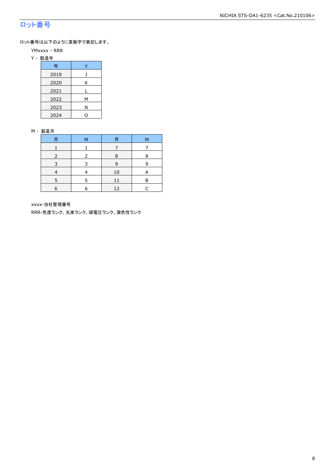## ロット番号

ロット番号は以下のように英数字で表記します。

- YMxxxx RRR
- Y 製造年

| 年    |   |
|------|---|
| 2019 |   |
| 2020 | Κ |
| 2021 |   |
| 2022 | М |
| 2023 | Ν |
| 2024 |   |

#### M - 製造月

| 月 | M | 月  | М |
|---|---|----|---|
|   |   |    |   |
|   |   | 8  | 8 |
|   |   | 9  | q |
|   |   | 10 | А |
|   |   | 11 | в |
| 6 | 6 | 12 |   |

xxxx-当社管理番号

RRR-色度ランク、光束ランク、順電圧ランク、演色性ランク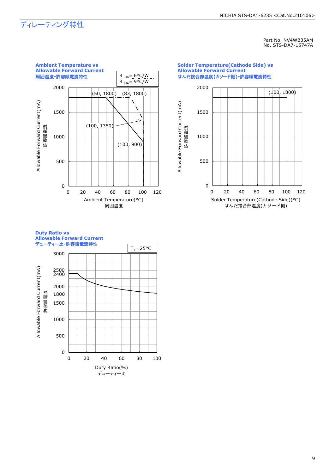## ディレーティング特性

Part No. NV4WB35AM No. STS-DA7-15747A



#### **Solder Temperature(Cathode Side) vs Allowable Forward Current** はんだ接合部温度**(**カソード側**)-**許容順電流特性



#### **Duty Ratio vs Allowable Forward Current** デューティー比**-**許容順電流特性

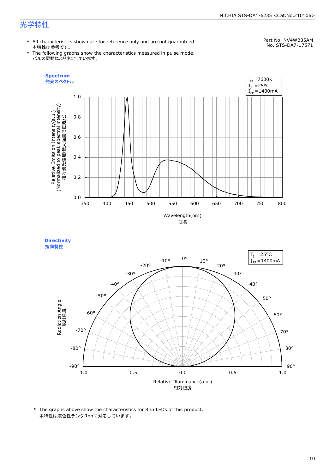### NICHIA STS-DA1-6235 <Cat.No.210106>

## 光学特性

\* All characteristics shown are for reference only and are not guaranteed. 本特性は参考です。

## Part No. NV4WB35AM

\* The following graphs show the characteristics measured in pulse mode. パルス駆動により測定しています。







<sup>\*</sup> The graphs above show the characteristics for Rnn LEDs of this product. 本特性は演色性ランクRnnに対応しています。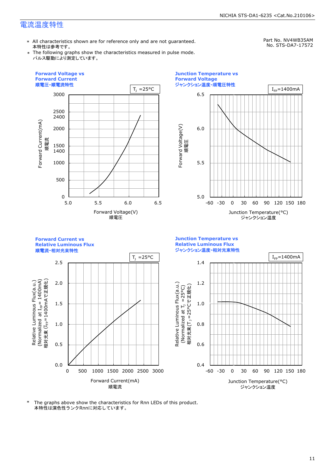## 電流温度特性

\* All characteristics shown are for reference only and are not guaranteed. 本特性は参考です。

Part No. NV4WB35AM

\* The following graphs show the characteristics measured in pulse mode. パルス駆動により測定しています。

No. STS-DA7-17572





**Forward Current vs Junction Temperature vs Relative Luminous Flux Relative Luminous Flux** ジャンクション温度**-**相対光束特性 順電流**-**相対光束特性  $T_1 = 25^{\circ}C$   $I_{\text{Fp}} = 1400 \text{mA}$ 2.5 1.4 (Normalized at I<sub>FP</sub>= 1400mA)<br>相対光束 (I<sub>FP</sub>= 1400mAで正規化) 相対光束 (I<sub>FP</sub>=1400mAで正規化) Relative Luminous Flux(a.u.) (Normalized at  $I_{\text{fp}}$  = 1400mA) 2.0 1.2 Relative Luminous Flux(a.u.) Relative Luminous Flux(a.u.)<br>(Normalized at T<sub>)</sub> =25°C) Relative Luminous Flux(a.u.) 相対光束(T<sub>1</sub>=25°Cで正規化) 相対光束(T」 =25°Cで正規化) (Normalized at  $T_1$  =25°C) 1.5 1.0 1.0 0.8 0.5 0.6 0.0 0.4 0 500 1000 1500 2000 2500 3000 -60 -30 0 30 60 90 120 150 180 Forward Current(mA) Junction Temperature(°C) 順電流 ジャンクション温度

\* The graphs above show the characteristics for Rnn LEDs of this product. 本特性は演色性ランクRnnに対応しています。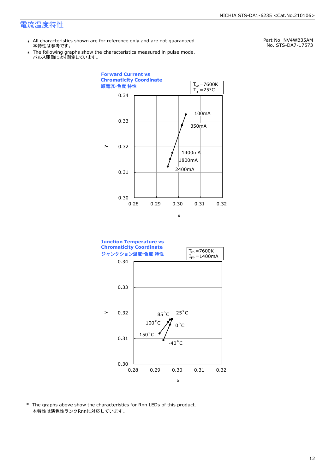### 電流温度特性

- \* All characteristics shown are for reference only and are not guaranteed. 本特性は参考です。
- \* Ine following graphs show th<br>、パルス駆動により測定しています。 The following graphs show the characteristics measured in pulse mode.

Part No. NV4WB35AM No. STS-DA7-17573





\* The graphs above show the characteristics for Rnn LEDs of this product. 本特性は演色性ランクRnnに対応しています。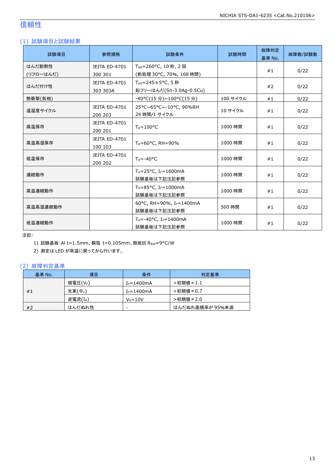## 信頼性

### (1) 試験項目と試験結果

| 試験項目      | 参照規格                            | 試験条件                                                        | 試験時間     | 故障判定<br>基準 No. | 故障数/試験数 |
|-----------|---------------------------------|-------------------------------------------------------------|----------|----------------|---------|
| はんだ耐熱性    | JEITA ED-4701                   | T <sub>sld</sub> =260°C, 10秒, 2回                            |          |                |         |
| (リフローはんだ) | 300 301                         | (前処理 30°C, 70%, 168 時間)                                     |          | #1             | 0/22    |
| はんだ付け性    | <b>JEITA ED-4701</b>            | $T_{\text{std}} = 245 \pm 5^{\circ}$ C, 5秒                  |          |                |         |
|           | 303 303A                        | 鉛フリーはんだ(Sn-3.0Ag-0.5Cu)                                     |          | #2             | 0/22    |
| 熱衝撃(気相)   |                                 | -40°C(15 分)~100°C(15 分)                                     | 100 サイクル | #1             | 0/22    |
| 温湿度サイクル   | <b>JEITA ED-4701</b><br>200 203 | 25°C~65°C~-10°C, 90%RH<br>24 時間/1 サイクル                      | 10 サイクル  | #1             | 0/22    |
| 高温保存      | JEITA ED-4701<br>200 201        | $T_A = 100^{\circ}C$                                        | 1000 時間  | #1             | 0/22    |
| 高温高湿保存    | <b>JEITA ED-4701</b><br>100 103 | TA=60°C, RH=90%                                             | 1000 時間  | #1             | 0/22    |
| 低温保存      | JEITA ED-4701<br>200 202        | $T_A = -40$ °C                                              | 1000 時間  | #1             | 0/22    |
| 連続動作      |                                 | $T_A = 25$ °C, I <sub>F</sub> =1600mA<br>試験基板は下記注記参照        | 1000 時間  | #1             | 0/22    |
| 高温連続動作    |                                 | T <sub>A</sub> =85°C, I <sub>F</sub> =1000mA<br>試験基板は下記注記参照 | 1000 時間  | #1             | 0/22    |
| 高温高湿連続動作  |                                 | 60°C, RH=90%, IF=1400mA<br>試験基板は下記注記参照                      | 500 時間   | #1             | 0/22    |
| 低温連続動作    |                                 | $T_A = -40$ °C, I <sub>F</sub> =1400mA<br>試験基板は下記注記参照       | 1000 時間  | #1             | 0/22    |

注記:

1) 試験基板:Al t=1.5mm、銅箔 t=0.105mm、熱抵抗 RθJA≈9°C/W

2) 測定は LED が常温に戻ってから行います。

### (2) 故障判定基準

| 基準 No. | 項目                 | 条件              | 判定基準            |
|--------|--------------------|-----------------|-----------------|
|        | 順電圧(VF)            | $I_F = 1400$ mA | >初期値×1.1        |
| #1     | 光束( $\Phi_{\nu}$ ) | $I_F = 1400$ mA | <初期値×0.7        |
|        | 逆電流(IR)            | $V_R = 10V$     | >初期値×2.0        |
| #2     | はんだぬれ性             | -               | はんだぬれ面積率が 95%未満 |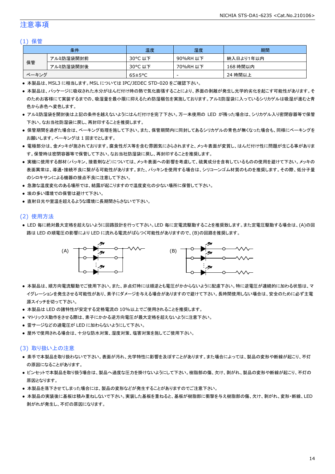### 注意事項

### (1) 保管

|       | 条件        | 温度                   | 湿度       | 期間        |
|-------|-----------|----------------------|----------|-----------|
|       | アルミ防湿袋開封前 | 30°C 以下              | 90%RH 以下 | 納入日より1年以内 |
| 保管    | アルミ防湿袋開封後 | 30°C 以下              | 70%RH 以下 | 168 時間以内  |
| ベーキング |           | $65 \pm 5^{\circ}$ C | -        | 24 時間以上   |

● 本製品は、MSL3 に相当します。MSL については IPC/JEDEC STD-020 をご確認下さい。

- 本製品は、パッケージに吸収された水分がはんだ付け時の熱で気化膨張することにより、界面の剥離が発生し光学的劣化を起こす可能性があります。そ のためお客様にて実装するまでの、吸湿量を最小限に抑えるため防湿梱包を実施しております。アルミ防湿袋に入っているシリカゲルは吸湿が進むと青 色から赤色へ変色します。
- アルミ防湿袋を開封後は上記の条件を越えないようにはんだ付けを完了下さい。万一未使用の LED が残った場合は、シリカゲル入り密閉容器等で保管 下さい。なお当社防湿袋に戻し、再封印することを推奨します。
- 保管期間を過ぎた場合は、ベーキング処理を施して下さい。また、保管期間内に同封してあるシリカゲルの青色が無くなった場合も、同様にベーキングを お願いします。ベーキングは 1 回までとします。
- 電極部分は、金メッキが施されております。腐食性ガス等を含む雰囲気にさらされますと、メッキ表面が変質し、はんだ付け性に問題が生じる事がありま す。保管時は密閉容器等で保管して下さい。なお当社防湿袋に戻し、再封印することを推奨します。
- 実機に使用する部材(パッキン、接着剤など)については、メッキ表面への影響を考慮して、硫黄成分を含有しているものの使用を避けて下さい。メッキの 表面異常は、導通・接続不良に繋がる可能性があります。また、パッキンを使用する場合は、シリコーンゴム材質のものを推奨します。その際、低分子量 のシロキサンによる機器の接点不良に注意して下さい。
- 急激な温度変化のある場所では、結露が起こりますので温度変化の少ない場所に保管して下さい。
- 埃の多い環境での保管は避けて下さい。
- 直射日光や室温を超えるような環境に長期間さらさないで下さい。

### (2) 使用方法

● LED 毎に絶対最大定格を超えないように回路設計を行って下さい。LED 毎に定電流駆動することを推奨致します。また定電圧駆動する場合は、(A)の回 路は LED の順電圧の影響により LED に流れる電流がばらつく可能性がありますので、(B)の回路を推奨します。



- 本製品は、順方向電流駆動でご使用下さい。また、非点灯時には順逆とも電圧がかからないように配慮下さい。特に逆電圧が連続的に加わる状態は、マ イグレーションを発生させる可能性があり、素子にダメージを与える場合がありますので避けて下さい。長時間使用しない場合は、安全のために必ず主電 源スイッチを切って下さい。
- 本製品は LED の諸特性が安定する定格電流の 10%以上でご使用されることを推奨します。
- マトリックス動作をさせる際は、素子にかかる逆方向電圧が最大定格を超えないように注意下さい。
- 雷サージなどの過電圧が LED に加わらないようにして下さい。
- 屋外で使用される場合は、十分な防水対策、湿度対策、塩害対策を施してご使用下さい。

#### (3) 取り扱い上の注意

- 素手で本製品を取り扱わないで下さい。表面が汚れ、光学特性に影響を及ぼすことがあります。また場合によっては、製品の変形や断線が起こり、不灯 の原因になることがあります。
- ピンセットで本製品を取り扱う場合は、製品へ過度な圧力を掛けないようにして下さい。樹脂部の傷、欠け、剥がれ、製品の変形や断線が起こり、不灯の 原因となります。
- 本製品を落下させてしまった場合には、製品の変形などが発生することがありますのでご注意下さい。
- 本製品の実装後に基板は積み重ねしないで下さい。実装した基板を重ねると、基板が樹脂部に衝撃を与え樹脂部の傷、欠け、剥がれ、変形・断線、LED 剥がれが発生し、不灯の原因になります。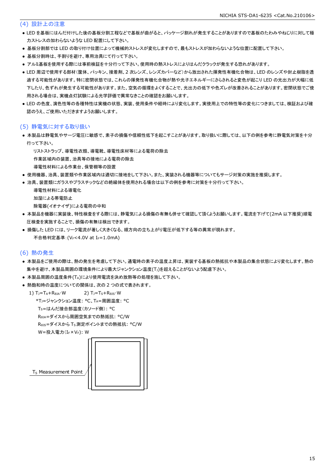### (4) 設計上の注意

- LED を基板にはんだ付けした後の基板分割工程などで基板が曲がると、パッケージ割れが発生することがありますので基板のたわみやねじりに対して極 力ストレスの加わらないような LED 配置にして下さい。
- 基板分割部では LED の取り付け位置によって機械的ストレスが変化しますので、最もストレスが加わらないような位置に配置して下さい。
- 基板分割時は、手割りを避け、専用治具にて行って下さい。
- アルミ基板を使用する際には事前検証を十分行って下さい。使用時の熱ストレスによりはんだクラックが発生する恐れがあります。
- LED 周辺で使用する部材(筐体、パッキン、接着剤、2 次レンズ、レンズカバーなど)から放出された揮発性有機化合物は、LED のレンズや封止樹脂を透 過する可能性があります。特に密閉状態では、これらの揮発性有機化合物が熱や光子エネルギーにさらされると変色が起こり LED の光出力が大幅に低 下したり、色ずれが発生する可能性があります。また、空気の循環をよくすることで、光出力の低下や色ズレが改善されることがあります。密閉状態でご使 用される場合は、実機点灯試験による光学評価で異常なきことの確認をお願いします。
- LED の色度、演色性等の各種特性は実機の状態、実装、使用条件や経時により変化します。実使用上での特性等の変化につきましては、検証および確 認のうえ、ご使用いただきますようお願いします。

### (5) 静電気に対する取り扱い

● 本製品は静電気やサージ電圧に敏感で、素子の損傷や信頼性低下を起こすことがあります。取り扱いに際しては、以下の例を参考に静電気対策を十分 行って下さい。

リストストラップ、導電性衣類、導電靴、導電性床材等による電荷の除去

作業区域内の装置、治具等の接地による電荷の除去

- 導電性材料による作業台、保管棚等の設置
- 使用機器、治具、装置類や作業区域内は適切に接地をして下さい。また、実装される機器等についてもサージ対策の実施を推奨します。
- 治具、装置類にガラスやプラスチックなどの絶縁体を使用される場合は以下の例を参考に対策を十分行って下さい。

```
 導電性材料による導電化
加湿による帯電防止
除電器(イオナイザ)による電荷の中和
```
- 本製品を機器に実装後、特性検査をする際には、静電気による損傷の有無も併せて確認して頂くようお願いします。電流を下げて(2mA 以下推奨)順電 圧検査を実施することで、損傷の有無は検出できます。
- 損傷した LED には、リーク電流が著しく大きくなる、順方向の立ち上がり電圧が低下する等の異常が現れます。 不合格判定基準: (VF<4.0V at IF=1.0mA)

### (6) 熱の発生

- 本製品をご使用の際は、熱の発生を考慮して下さい。通電時の素子の温度上昇は、実装する基板の熱抵抗や本製品の集合状態により変化します。熱の 集中を避け、本製品周囲の環境条件により最大ジャンクション温度(T」)を超えることがないよう配慮下さい。
- 本製品周囲の温度条件(TA)により使用電流を決め放熱等の処理を施して下さい。
- 熱飽和時の温度についての関係は、次の2つの式で表されます。

1)  $T_J = T_A + R_{\theta JA} \cdot W$  2)  $T_J = T_S + R_{\theta JS} \cdot W$ \*TJ=ジャンクション温度: °C、TA=周囲温度: °C

TS=はんだ接合部温度(カソード側): °C

```
 RθJA=ダイスから周囲空気までの熱抵抗: °C/W
```
RθJS=ダイスから TS測定ポイントまでの熱抵抗: °C/W

```
W=投入電力(I<sub>F</sub>×V<sub>F</sub>): W
```